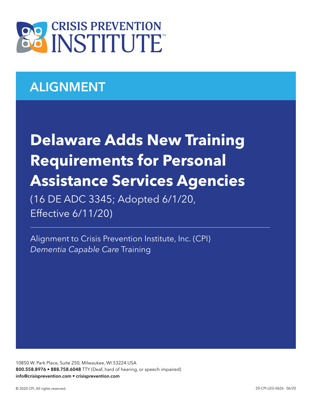

## ALIGNMENT

# **Delaware Adds New Training Requirements for Personal Assistance Services Agencies**

(16 DE ADC 3345; Adopted 6/1/20, Effective 6/11/20)

Alignment to Crisis Prevention Institute, Inc. (CPI) *Dementia Capable Care* Training

10850 W. Park Place, Suite 250, Milwaukee, WI 53224 USA 800.558.8976 • 888.758.6048 TTY (Deaf, hard of hearing, or speech impaired) info@crisisprevention.com • crisisprevention.com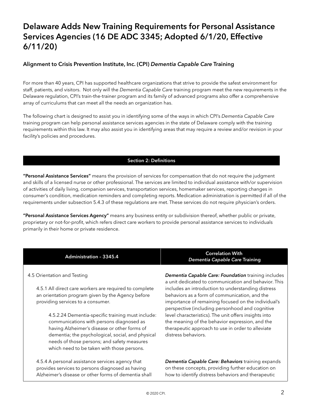### Delaware Adds New Training Requirements for Personal Assistance Services Agencies (16 DE ADC 3345; Adopted 6/1/20, Effective 6/11/20)

#### Alignment to Crisis Prevention Institute, Inc. (CPI) *Dementia Capable Care* Training

For more than 40 years, CPI has supported healthcare organizations that strive to provide the safest environment for staff, patients, and visitors. Not only will the *Dementia Capable Care* training program meet the new requirements in the Delaware regulation, CPI's train-the-trainer program and its family of advanced programs also offer a comprehensive array of curriculums that can meet all the needs an organization has.

The following chart is designed to assist you in identifying some of the ways in which CPI's *Dementia Capable Care* training program can help personal assistance services agencies in the state of Delaware comply with the training requirements within this law. It may also assist you in identifying areas that may require a review and/or revision in your facility's policies and procedures.

#### Section 2: Definitions

"Personal Assistance Services" means the provision of services for compensation that do not require the judgment and skills of a licensed nurse or other professional. The services are limited to individual assistance with/or supervision of activities of daily living, companion services, transportation services, homemaker services, reporting changes in consumer's condition, medication reminders and completing reports. Medication administration is permitted if all of the requirements under subsection 5.4.3 of these regulations are met. These services do not require physician's orders.

"Personal Assistance Services Agency" means any business entity or subdivision thereof, whether public or private, proprietary or not-for-profit, which refers direct care workers to provide personal assistance services to individuals primarily in their home or private residence.

4.5 Orientation and Testing

4.5.1 All direct care workers are required to complete an orientation program given by the Agency before providing services to a consumer.

4.5.2.24 Dementia-specific training must include: communications with persons diagnosed as having Alzheimer's disease or other forms of dementia; the psychological, social, and physical needs of those persons; and safety measures which need to be taken with those persons.

4.5.4 A personal assistance services agency that provides services to persons diagnosed as having Alzheimer's disease or other forms of dementia shall

Administration – 3345.4 Correlation With  *Dementia Capable Care* Training

> *Dementia Capable Care: Foundation* training includes a unit dedicated to communication and behavior. This includes an introduction to understanding distress behaviors as a form of communication, and the importance of remaining focused on the individual's perspective (including personhood and cognitive level characteristics). The unit offers insights into the meaning of the behavior expression, and the therapeutic approach to use in order to alleviate distress behaviors.

*Dementia Capable Care: Behaviors* training expands on these concepts, providing further education on how to identify distress behaviors and therapeutic